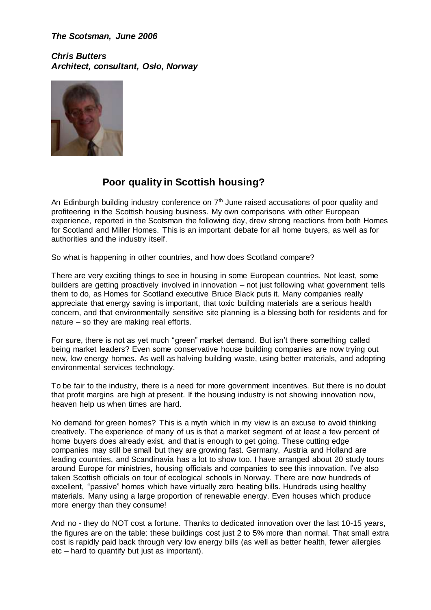*The Scotsman, June 2006*

*Chris Butters Architect, consultant, Oslo, Norway*



## **Poor quality in Scottish housing?**

An Edinburgh building industry conference on  $7<sup>th</sup>$  June raised accusations of poor quality and profiteering in the Scottish housing business. My own comparisons with other European experience, reported in the Scotsman the following day, drew strong reactions from both Homes for Scotland and Miller Homes. This is an important debate for all home buyers, as well as for authorities and the industry itself.

So what is happening in other countries, and how does Scotland compare?

There are very exciting things to see in housing in some European countries. Not least, some builders are getting proactively involved in innovation – not just following what government tells them to do, as Homes for Scotland executive Bruce Black puts it. Many companies really appreciate that energy saving is important, that toxic building materials are a serious health concern, and that environmentally sensitive site planning is a blessing both for residents and for nature – so they are making real efforts.

For sure, there is not as yet much "green" market demand. But isn't there something called being market leaders? Even some conservative house building companies are now trying out new, low energy homes. As well as halving building waste, using better materials, and adopting environmental services technology.

To be fair to the industry, there is a need for more government incentives. But there is no doubt that profit margins are high at present. If the housing industry is not showing innovation now, heaven help us when times are hard.

No demand for green homes? This is a myth which in my view is an excuse to avoid thinking creatively. The experience of many of us is that a market segment of at least a few percent of home buyers does already exist, and that is enough to get going. These cutting edge companies may still be small but they are growing fast. Germany, Austria and Holland are leading countries, and Scandinavia has a lot to show too. I have arranged about 20 study tours around Europe for ministries, housing officials and companies to see this innovation. I've also taken Scottish officials on tour of ecological schools in Norway. There are now hundreds of excellent, "passive" homes which have virtually zero heating bills. Hundreds using healthy materials. Many using a large proportion of renewable energy. Even houses which produce more energy than they consume!

And no - they do NOT cost a fortune. Thanks to dedicated innovation over the last 10-15 years, the figures are on the table: these buildings cost just 2 to 5% more than normal. That small extra cost is rapidly paid back through very low energy bills (as well as better health, fewer allergies etc – hard to quantify but just as important).